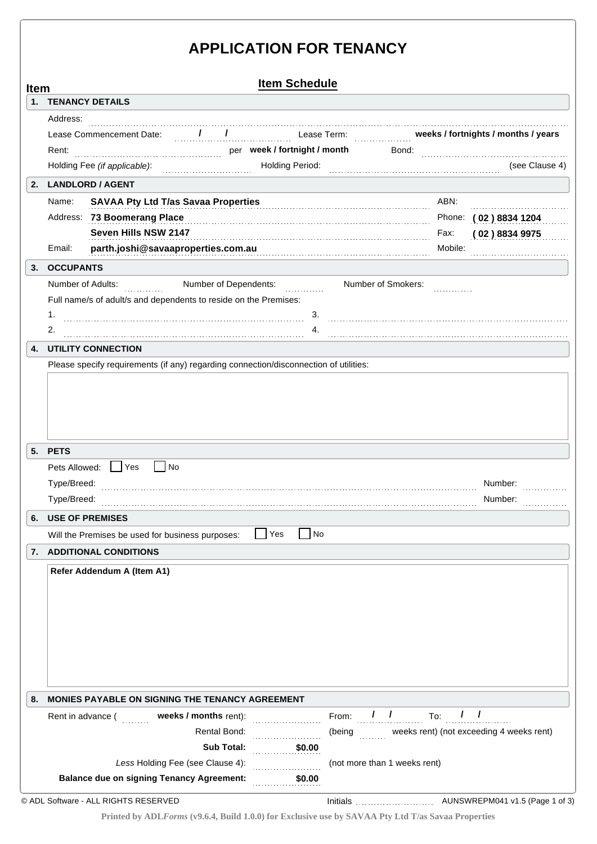# **APPLICATION FOR TENANCY**

| <b>Item Schedule</b><br><b>Item</b> |                                                                                                                                |         |                       |
|-------------------------------------|--------------------------------------------------------------------------------------------------------------------------------|---------|-----------------------|
|                                     | 1. TENANCY DETAILS                                                                                                             |         |                       |
|                                     | Address:                                                                                                                       |         |                       |
|                                     | / / / Lease Term: weeks / fortnights / months / years<br>Lease Commencement Date:                                              |         |                       |
|                                     | per week / fortnight / month<br>Rent:<br>Bond:                                                                                 |         |                       |
|                                     | Holding Fee (if applicable):<br>Holding Period: Marian Communication of the Period:                                            |         | (see Clause 4)        |
|                                     | 2. LANDLORD / AGENT                                                                                                            |         |                       |
|                                     | <b>SAVAA Pty Ltd T/as Savaa Properties</b><br>Name:                                                                            | ABN:    |                       |
|                                     | Address: 73 Boomerang Place                                                                                                    |         | Phone: (02) 8834 1204 |
|                                     | Seven Hills NSW 2147                                                                                                           | Fax:    | (02)88349975          |
|                                     | parth.joshi@savaaproperties.com.au<br>Email:                                                                                   | Mobile: |                       |
| 3.                                  | <b>OCCUPANTS</b>                                                                                                               |         |                       |
|                                     | Number of Dependents:<br>Number of Adults:<br>Number of Smokers:<br>a a chuidhean                                              |         |                       |
|                                     | Full name/s of adult/s and dependents to reside on the Premises:                                                               |         |                       |
|                                     | 1.<br>3.                                                                                                                       |         |                       |
|                                     | 2.<br>4.                                                                                                                       |         |                       |
| 4.                                  | <b>UTILITY CONNECTION</b><br>Please specify requirements (if any) regarding connection/disconnection of utilities:             |         |                       |
|                                     |                                                                                                                                |         |                       |
|                                     | 5. PETS<br>Pets Allowed:   Yes<br>$\vert$ No                                                                                   |         |                       |
|                                     | Type/Breed:<br>Type/Breed:                                                                                                     |         | Number:<br>Number:    |
|                                     | <b>USE OF PREMISES</b>                                                                                                         |         |                       |
|                                     | N <sub>o</sub><br>  Yes<br>Will the Premises be used for business purposes:                                                    |         |                       |
|                                     | 7. ADDITIONAL CONDITIONS                                                                                                       |         |                       |
| 6.                                  | Refer Addendum A (Item A1)                                                                                                     |         |                       |
| 8.                                  | <b>MONIES PAYABLE ON SIGNING THE TENANCY AGREEMENT</b>                                                                         |         |                       |
|                                     | From: $\frac{1}{1}$ $\frac{1}{1}$ To:<br>Rent in advance ( <b>weeks / months</b> rent):                                        |         | 1 <sub>1</sub>        |
|                                     | (being weeks rent) (not exceeding 4 weeks rent)<br><b>Rental Bond:</b>                                                         |         |                       |
|                                     | <b>Sub Total:</b><br>\$0.00                                                                                                    |         |                       |
|                                     | Less Holding Fee (see Clause 4):<br>(not more than 1 weeks rent)<br><b>Balance due on signing Tenancy Agreement:</b><br>\$0.00 |         |                       |

**Printed by ADL***Forms* **(v9.6.4, Build 1.0.0) for Exclusive use by SAVAA Pty Ltd T/as Savaa Properties**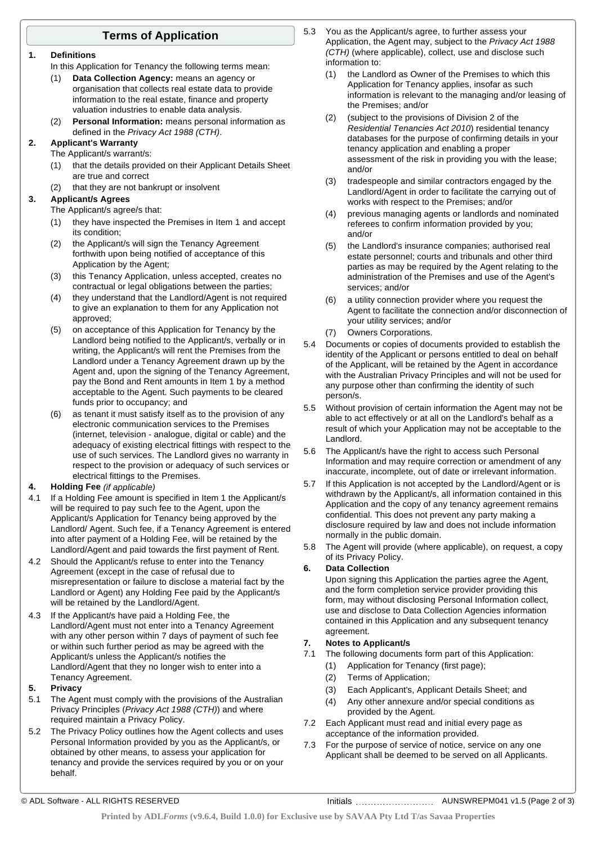### **Terms of Application**

#### **1. Definitions**

In this Application for Tenancy the following terms mean:

- (1) **Data Collection Agency:** means an agency or organisation that collects real estate data to provide information to the real estate, finance and property valuation industries to enable data analysis.
- (2) **Personal Information:** means personal information as defined in the *Privacy Act 1988 (CTH)*.
- **2. Applicant's Warranty**
	- The Applicant/s warrant/s:
	- (1) that the details provided on their Applicant Details Sheet are true and correct
	- (2) that they are not bankrupt or insolvent

### **3. Applicant/s Agrees**

The Applicant/s agree/s that:

- (1) they have inspected the Premises in Item 1 and accept its condition;
- (2) the Applicant/s will sign the Tenancy Agreement forthwith upon being notified of acceptance of this Application by the Agent;
- (3) this Tenancy Application, unless accepted, creates no contractual or legal obligations between the parties;
- (4) they understand that the Landlord/Agent is not required to give an explanation to them for any Application not approved;
- (5) on acceptance of this Application for Tenancy by the Landlord being notified to the Applicant/s, verbally or in writing, the Applicant/s will rent the Premises from the Landlord under a Tenancy Agreement drawn up by the Agent and, upon the signing of the Tenancy Agreement, pay the Bond and Rent amounts in Item 1 by a method acceptable to the Agent. Such payments to be cleared funds prior to occupancy; and
- (6) as tenant it must satisfy itself as to the provision of any electronic communication services to the Premises (internet, television - analogue, digital or cable) and the adequacy of existing electrical fittings with respect to the use of such services. The Landlord gives no warranty in respect to the provision or adequacy of such services or electrical fittings to the Premises.

### **4. Holding Fee** *(if applicable)*

- 4.1 If a Holding Fee amount is specified in Item 1 the Applicant/s will be required to pay such fee to the Agent, upon the Applicant/s Application for Tenancy being approved by the Landlord/ Agent. Such fee, if a Tenancy Agreement is entered into after payment of a Holding Fee, will be retained by the Landlord/Agent and paid towards the first payment of Rent.
- 4.2 Should the Applicant/s refuse to enter into the Tenancy Agreement (except in the case of refusal due to misrepresentation or failure to disclose a material fact by the Landlord or Agent) any Holding Fee paid by the Applicant/s will be retained by the Landlord/Agent.
- 4.3 If the Applicant/s have paid a Holding Fee, the Landlord/Agent must not enter into a Tenancy Agreement with any other person within 7 days of payment of such fee or within such further period as may be agreed with the Applicant/s unless the Applicant/s notifies the Landlord/Agent that they no longer wish to enter into a Tenancy Agreement.

#### **5. Privacy**

- 5.1 The Agent must comply with the provisions of the Australian Privacy Principles (*Privacy Act 1988 (CTH)*) and where required maintain a Privacy Policy.
- 5.2 The Privacy Policy outlines how the Agent collects and uses Personal Information provided by you as the Applicant/s, or obtained by other means, to assess your application for tenancy and provide the services required by you or on your behalf.
- 5.3 You as the Applicant/s agree, to further assess your Application, the Agent may, subject to the *Privacy Act 1988 (CTH)* (where applicable), collect, use and disclose such information to:
	- (1) the Landlord as Owner of the Premises to which this Application for Tenancy applies, insofar as such information is relevant to the managing and/or leasing of the Premises; and/or
	- (2) (subject to the provisions of Division 2 of the *Residential Tenancies Act 2010*) residential tenancy databases for the purpose of confirming details in your tenancy application and enabling a proper assessment of the risk in providing you with the lease; and/or
	- (3) tradespeople and similar contractors engaged by the Landlord/Agent in order to facilitate the carrying out of works with respect to the Premises; and/or
	- (4) previous managing agents or landlords and nominated referees to confirm information provided by you; and/or
	- (5) the Landlord's insurance companies; authorised real estate personnel; courts and tribunals and other third parties as may be required by the Agent relating to the administration of the Premises and use of the Agent's services; and/or
	- (6) a utility connection provider where you request the Agent to facilitate the connection and/or disconnection of your utility services; and/or
	- (7) Owners Corporations.
- 5.4 Documents or copies of documents provided to establish the identity of the Applicant or persons entitled to deal on behalf of the Applicant, will be retained by the Agent in accordance with the Australian Privacy Principles and will not be used for any purpose other than confirming the identity of such person/s.
- 5.5 Without provision of certain information the Agent may not be able to act effectively or at all on the Landlord's behalf as a result of which your Application may not be acceptable to the Landlord.
- 5.6 The Applicant/s have the right to access such Personal Information and may require correction or amendment of any inaccurate, incomplete, out of date or irrelevant information.
- 5.7 If this Application is not accepted by the Landlord/Agent or is withdrawn by the Applicant/s, all information contained in this Application and the copy of any tenancy agreement remains confidential. This does not prevent any party making a disclosure required by law and does not include information normally in the public domain.
- 5.8 The Agent will provide (where applicable), on request, a copy of its Privacy Policy.

### **6. Data Collection**

Upon signing this Application the parties agree the Agent, and the form completion service provider providing this form, may without disclosing Personal Information collect, use and disclose to Data Collection Agencies information contained in this Application and any subsequent tenancy agreement.

### **7. Notes to Applicant/s**

- 7.1 The following documents form part of this Application:
	- (1) Application for Tenancy (first page);
	- (2) Terms of Application;
	- (3) Each Applicant's, Applicant Details Sheet; and
	- (4) Any other annexure and/or special conditions as provided by the Agent.
- 7.2 Each Applicant must read and initial every page as acceptance of the information provided.
- 7.3 For the purpose of service of notice, service on any one Applicant shall be deemed to be served on all Applicants.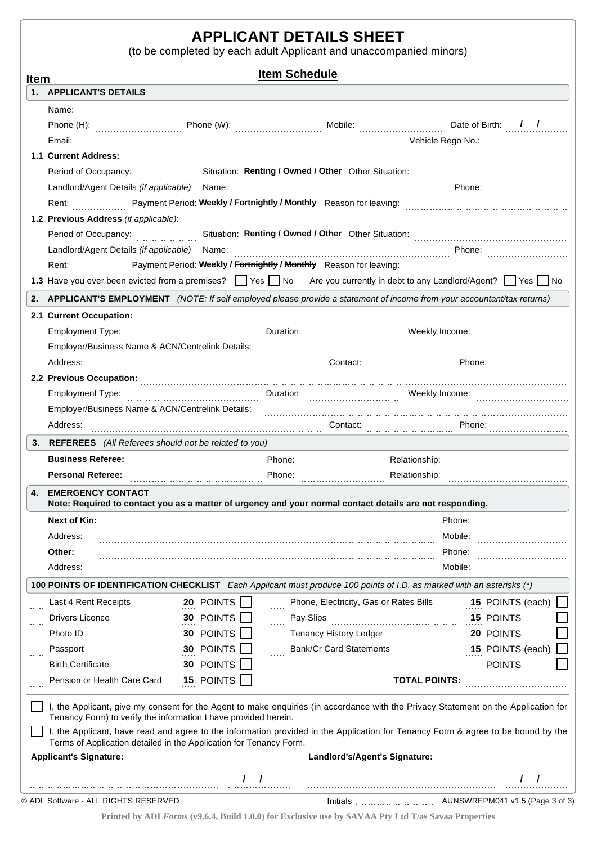## **APPLICANT DETAILS SHEET**

(to be completed by each adult Applicant and unaccompanied minors)

**Item Schedule Item 1. APPLICANT'S DETAILS** Name: Phone (H): Thone (W): The Mobile: Nobile: Date of Birth:  $\frac{1}{2}$ Email: Vehicle Rego No.: **1.1 Current Address:** Period of Occupancy: Situation: Other Situation: **Renting / Owned / Other** Landlord/Agent Details *(if applicable)* Name: **Phone:** Phone: Phone: Phone: 2014 Payment Period: Rent: Reason for leaving: **Weekly / Fortnightly / Monthly 1.2 Previous Address** *(if applicable)*: **Period of Occupancy:** The Situation: **Renting / Owned / Other** Other Situation: Landlord/Agent Details *(if applicable)* Name: **Phone:** Phone: Phone: Phone: Rent: Payment Period: Weekly / Fortnightly / Monthly Reason for leaving: **1.3** Have you ever been evicted from a premises?  $\Box$  Yes  $\Box$  No Are you currently in debt to any Landlord/Agent?  $\Box$  Yes  $\Box$  No 2. APPLICANT'S EMPLOYMENT (NOTE: If self employed please provide a statement of income from your accountant/tax returns) **2.1 Current Occupation:** Employment Type: www.farethology.com and the Duration: which weekly lncome: Weekly Income: Employer/Business Name & ACN/Centrelink Details: Address: 2008. 2012. Phone: 2014. 2014. 2014. 2014. 2014. 2014. 2014. 2015. 2016. 2016. 2016. 2016. 2016. 2016. 2016. 2016. 2016. 2016. 2016. 2016. 2016. 2016. 2016. 2016. 2016. 2016. 2016. 2016. 2016. 2016. 2016. 2016. 20 **2.2 Previous Occupation:** Employment Type: www.farethology.com and the Duration: which weekly lncome: Weekly Income: Employer/Business Name & ACN/Centrelink Details: Address: Contact: Phone: **3. REFEREES** *(All Referees should not be related to you)* Relationship: **Phone: Phone: Phone: Phone: Phone: Personal Referee: Phone: Phone: Phone: Phone: Phone: Phone: Phone: Phone: Phone: Phone: Phone: Phone: Phone: Phone: Phone: Phone: Phone: Pho Business Referee:** Relationship: **4. EMERGENCY CONTACT** Note: Required to contact you as a matter of urgency and your normal contact details are not responding. **Next of Kin:** Phone: Address: Mobile: Phone: **Other:** Address: Mobile: Mobile: Mobile: Mobile: Mobile: Mobile: Mobile: Mobile: Mobile: Mobile: Mobile: Mobile: Mobile: Mobile: Mobile: Mobile: Mobile: Mobile: Mobile: Mobile: Mobile: Mobile: Mobile: Mobile: Mobile: Mobile: Mobil 100 POINTS OF IDENTIFICATION CHECKLIST Each Applicant must produce 100 points of I.D. as marked with an asterisks (\*) 15 POINTS (each) Last 4 Rent Receipts **20** POINTS **S** Phone, Electricity, Gas or Rates Bills **15** Drivers Licence **30 POINTS** Pay Slips **15** POINTS Photo ID Tenancy History Ledger POINTS **30** 20 POINTS Bank/Cr Card Statements Passport **30 POINTS** 15 POINTS (each) **EXAMPLE 12 AND THE POINTS** Birth Certificate **30 POINTS 15 TOTAL POINTS:** Pension or Health Care Card I, the Applicant, give my consent for the Agent to make enquiries (in accordance with the Privacy Statement on the Application for Tenancy Form) to verify the information I have provided herein. I, the Applicant, have read and agree to the information provided in the Application for Tenancy Form & agree to be bound by the Terms of Application detailed in the Application for Tenancy Form. **Applicant's Signature: Landlord's/Agent's Signature: / / / /** © ADL Software - ALL RIGHTS RESERVED AUNSWREPM041 v1.5 (Page 3 of 3) Initials

**Printed by ADL***Forms* **(v9.6.4, Build 1.0.0) for Exclusive use by SAVAA Pty Ltd T/as Savaa Properties**